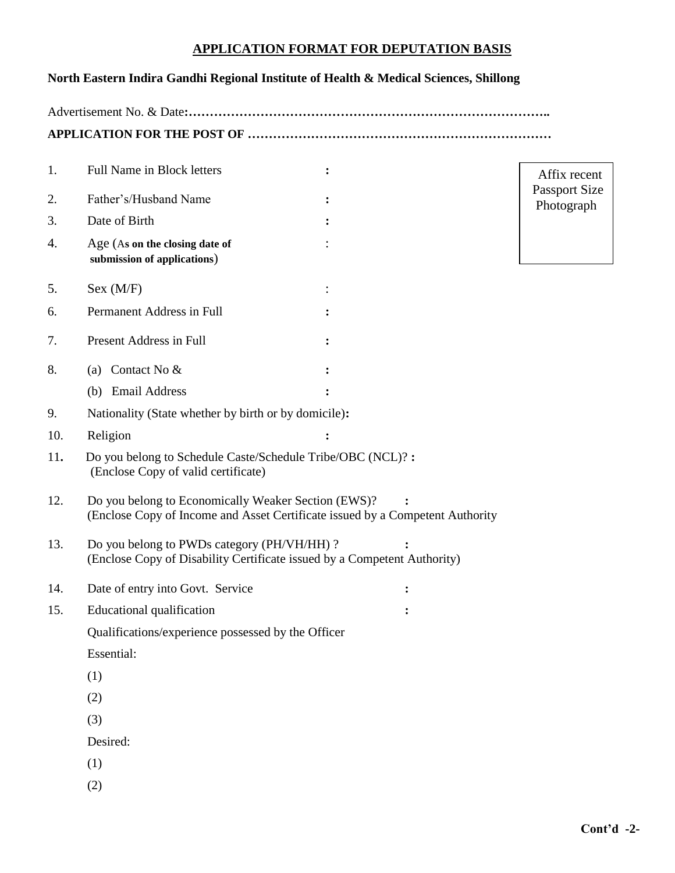# **APPLICATION FORMAT FOR DEPUTATION BASIS**

## **North Eastern Indira Gandhi Regional Institute of Health & Medical Sciences, Shillong**

Advertisement No. & Date**:…………………………………………………………………………..**

**APPLICATION FOR THE POST OF ………………………………………………………………**

| 1.  | Full Name in Block letters                                                                                                           |   | Affix recent                       |
|-----|--------------------------------------------------------------------------------------------------------------------------------------|---|------------------------------------|
| 2.  | Father's/Husband Name                                                                                                                |   | <b>Passport Size</b><br>Photograph |
| 3.  | Date of Birth                                                                                                                        |   |                                    |
| 4.  | Age (As on the closing date of<br>submission of applications)                                                                        |   |                                    |
| 5.  | Sex (M/F)                                                                                                                            |   |                                    |
| 6.  | Permanent Address in Full                                                                                                            |   |                                    |
| 7.  | Present Address in Full                                                                                                              |   |                                    |
| 8.  | (a) Contact No $&$                                                                                                                   |   |                                    |
|     | (b) Email Address                                                                                                                    |   |                                    |
| 9.  | Nationality (State whether by birth or by domicile):                                                                                 |   |                                    |
| 10. | Religion                                                                                                                             |   |                                    |
| 11. | Do you belong to Schedule Caste/Schedule Tribe/OBC (NCL)?:<br>(Enclose Copy of valid certificate)                                    |   |                                    |
| 12. | Do you belong to Economically Weaker Section (EWS)?<br>(Enclose Copy of Income and Asset Certificate issued by a Competent Authority |   |                                    |
| 13. | Do you belong to PWDs category (PH/VH/HH)?<br>(Enclose Copy of Disability Certificate issued by a Competent Authority)               |   |                                    |
| 14. | Date of entry into Govt. Service                                                                                                     | ፡ |                                    |
| 15. | Educational qualification                                                                                                            |   |                                    |
|     | Qualifications/experience possessed by the Officer                                                                                   |   |                                    |
|     | Essential:                                                                                                                           |   |                                    |
|     | (1)                                                                                                                                  |   |                                    |
|     | (2)                                                                                                                                  |   |                                    |
|     | (3)                                                                                                                                  |   |                                    |
|     | Desired:                                                                                                                             |   |                                    |
|     | (1)                                                                                                                                  |   |                                    |
|     | (2)                                                                                                                                  |   |                                    |
|     |                                                                                                                                      |   |                                    |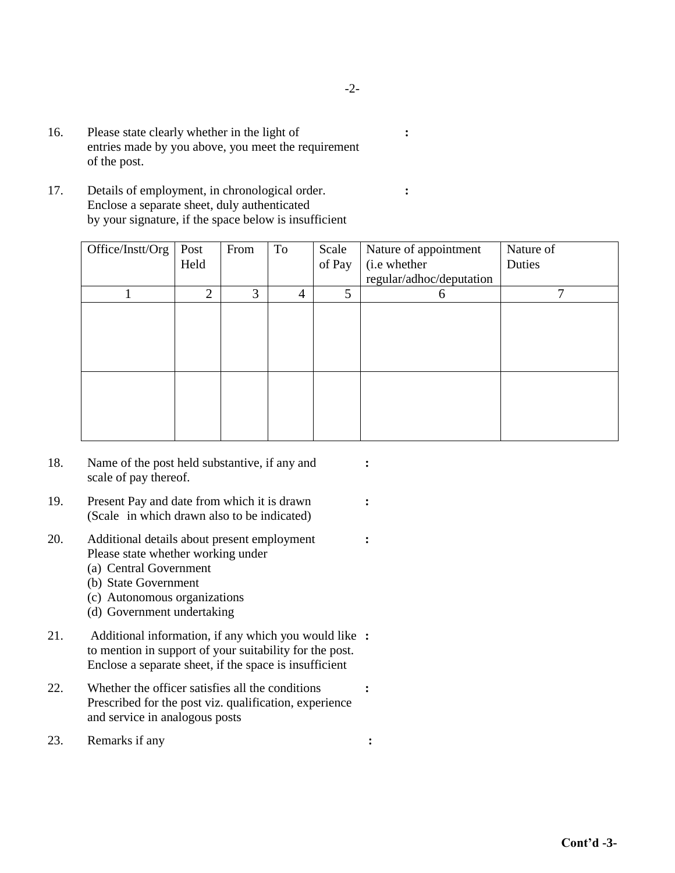- 16. Please state clearly whether in the light of **:** entries made by you above, you meet the requirement of the post.
- 17. Details of employment, in chronological order. **:** Enclose a separate sheet, duly authenticated by your signature, if the space below is insufficient

| Office/Instt/Org | Post           | From | To             | Scale  | Nature of appointment    | Nature of    |
|------------------|----------------|------|----------------|--------|--------------------------|--------------|
|                  | Held           |      |                | of Pay | (i.e whether             | Duties       |
|                  |                |      |                |        | regular/adhoc/deputation |              |
|                  | $\overline{2}$ | 3    | $\overline{4}$ | 5      | 6                        | $\mathbf{r}$ |
|                  |                |      |                |        |                          |              |
|                  |                |      |                |        |                          |              |
|                  |                |      |                |        |                          |              |
|                  |                |      |                |        |                          |              |
|                  |                |      |                |        |                          |              |
|                  |                |      |                |        |                          |              |
|                  |                |      |                |        |                          |              |
|                  |                |      |                |        |                          |              |

- 18. Name of the post held substantive, if any and **:** scale of pay thereof.
- 19. Present Pay and date from which it is drawn **:** (Scale in which drawn also to be indicated)
- 20. Additional details about present employment **:** Please state whether working under
	- (a) Central Government
	- (b) State Government
	- (c) Autonomous organizations
	- (d) Government undertaking
- 21. Additional information, if any which you would like **:** to mention in support of your suitability for the post. Enclose a separate sheet, if the space is insufficient
- 22. Whether the officer satisfies all the conditions **:** Prescribed for the post viz. qualification, experience and service in analogous posts
- 23. Remarks if any **:**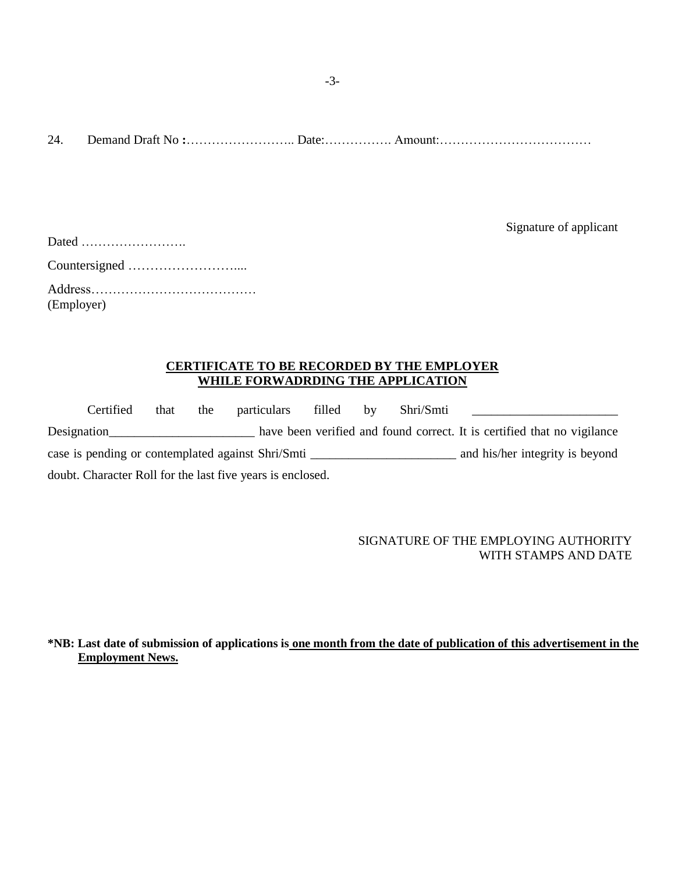24. Demand Draft No **:**…………………….. Date:……………. Amount:………………………………

Signature of applicant

| (Employer) |
|------------|

### **CERTIFICATE TO BE RECORDED BY THE EMPLOYER WHILE FORWADRDING THE APPLICATION**

|                                                            | Certified | that | the | particulars                                       | filled | $\mathbf{b}$ v | Shri/Smti |                                                                         |
|------------------------------------------------------------|-----------|------|-----|---------------------------------------------------|--------|----------------|-----------|-------------------------------------------------------------------------|
| Designation                                                |           |      |     |                                                   |        |                |           | have been verified and found correct. It is certified that no vigilance |
|                                                            |           |      |     | case is pending or contemplated against Shri/Smti |        |                |           | and his/her integrity is beyond                                         |
| doubt. Character Roll for the last five years is enclosed. |           |      |     |                                                   |        |                |           |                                                                         |

### SIGNATURE OF THE EMPLOYING AUTHORITY WITH STAMPS AND DATE

**\*NB: Last date of submission of applications is one month from the date of publication of this advertisement in the Employment News.**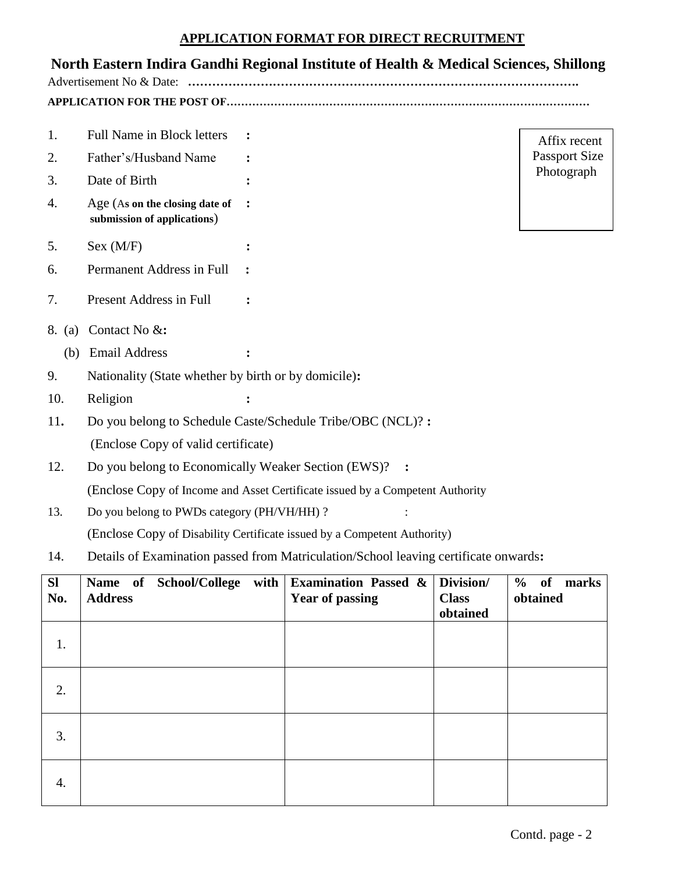## **APPLICATION FORMAT FOR DIRECT RECRUITMENT**

# **North Eastern Indira Gandhi Regional Institute of Health & Medical Sciences, Shillong**

Advertisement No & Date: **…………………………………………………………………………………….**

**APPLICATION FOR THE POST OF………………………………………………………………………………………**

- 1. Full Name in Block letters **:**
- 2. Father's/Husband Name **:**
- 3. Date of Birth **:**
- 4. Age (A**s on the closing date of : submission of applications**)
- 5. Sex (M/F) **:**
- 6. Permanent Address in Full **:**
- 7. Present Address in Full **:**
- 8. (a) Contact No &**:**
	- (b) Email Address **:**
- 9. Nationality (State whether by birth or by domicile)**:**
- 10. Religion **:**
- 11**.** Do you belong to Schedule Caste/Schedule Tribe/OBC (NCL)? **:** (Enclose Copy of valid certificate)
- 12. Do you belong to Economically Weaker Section (EWS)? **:**

(Enclose Copy of Income and Asset Certificate issued by a Competent Authority

- 13. Do you belong to PWDs category (PH/VH/HH) ? : (Enclose Copy of Disability Certificate issued by a Competent Authority)
- 14. Details of Examination passed from Matriculation/School leaving certificate onwards**:**

| SI<br>No. | Name of School/College with<br><b>Address</b> | <b>Examination Passed &amp;</b><br><b>Year of passing</b> | Division/<br><b>Class</b><br>obtained | % of<br>marks<br>obtained |
|-----------|-----------------------------------------------|-----------------------------------------------------------|---------------------------------------|---------------------------|
| 1.        |                                               |                                                           |                                       |                           |
| 2.        |                                               |                                                           |                                       |                           |
| 3.        |                                               |                                                           |                                       |                           |
| 4.        |                                               |                                                           |                                       |                           |

 Affix recent Passport Size Photograph